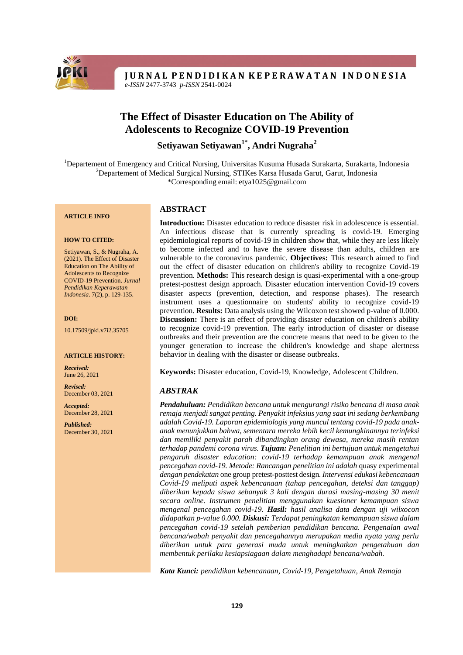

**JURNAL PENDIDIKAN KEPERAWATAN INDONESIA** *e*-*ISSN* 2477-3743 *p*-*ISSN* 2541-0024

# **The Effect of Disaster Education on The Ability of Adolescents to Recognize COVID-19 Prevention**

**Setiyawan Setiyawan1\* , Andri Nugraha<sup>2</sup>**

<sup>1</sup>Departement of Emergency and Critical Nursing, Universitas Kusuma Husada Surakarta, Surakarta, Indonesia <sup>2</sup>Departement of Medical Surgical Nursing, STIKes Karsa Husada Garut, Garut, Indonesia \*Corresponding email: [etya1025@gmail.com](mailto:etya1025@gmail.com)

#### **ARTICLE INFO**

#### **HOW TO CITED:**

Setiyawan, S., & Nugraha, A. (2021). The Effect of Disaster Education on The Ability of Adolescents to Recognize COVID-19 Prevention. *Jurnal Pendidikan Keperawatan Indonesia*. 7(2), p. 129-135.

#### **DOI:**

10.17509/jpki.v7i2.35705

#### **ARTICLE HISTORY:**

*Received:* June 26, 2021

*Revised:* December 03, 2021

*Accepted:* December 28, 2021

*Published:* December 30, 2021

### **ABSTRACT**

**Introduction:** Disaster education to reduce disaster risk in adolescence is essential. An infectious disease that is currently spreading is covid-19. Emerging epidemiological reports of covid-19 in children show that, while they are less likely to become infected and to have the severe disease than adults, children are vulnerable to the coronavirus pandemic. **Objectives:** This research aimed to find out the effect of disaster education on children's ability to recognize Covid-19 prevention. **Methods:** This research design is quasi-experimental with a one-group pretest-posttest design approach. Disaster education intervention Covid-19 covers disaster aspects (prevention, detection, and response phases). The research instrument uses a questionnaire on students' ability to recognize covid-19 prevention. **Results:** Data analysis using the Wilcoxon test showed p-value of 0.000. **Discussion:** There is an effect of providing disaster education on children's ability to recognize covid-19 prevention. The early introduction of disaster or disease outbreaks and their prevention are the concrete means that need to be given to the younger generation to increase the children's knowledge and shape alertness behavior in dealing with the disaster or disease outbreaks.

**Keywords:** Disaster education, Covid-19, Knowledge, Adolescent Children.

### *ABSTRAK*

*Pendahuluan: Pendidikan bencana untuk mengurangi risiko bencana di masa anak remaja menjadi sangat penting. Penyakit infeksius yang saat ini sedang berkembang adalah Covid-19. Laporan epidemiologis yang muncul tentang covid-19 pada anakanak menunjukkan bahwa, sementara mereka lebih kecil kemungkinannya terinfeksi dan memiliki penyakit parah dibandingkan orang dewasa, mereka masih rentan terhadap pandemi corona virus. Tujuan: Penelitian ini bertujuan untuk mengetahui pengaruh disaster education: covid-19 terhadap kemampuan anak mengenal pencegahan covid-19. Metode: Rancangan penelitian ini adalah* quasy experimental *dengan pendekatan* one group pretest-posttest design*. Intervensi edukasi kebencanaan Covid-19 meliputi aspek kebencanaan (tahap pencegahan, deteksi dan tanggap) diberikan kepada siswa sebanyak 3 kali dengan durasi masing-masing 30 menit secara online. Instrumen penelitian menggunakan kuesioner kemampuan siswa mengenal pencegahan covid-19. Hasil: hasil analisa data dengan uji wilxocon didapatkan p-value 0.000. Diskusi: Terdapat peningkatan kemampuan siswa dalam pencegahan covid-19 setelah pemberian pendidikan bencana. Pengenalan awal bencana/wabah penyakit dan pencegahannya merupakan media nyata yang perlu diberikan untuk para generasi muda untuk meningkatkan pengetahuan dan membentuk perilaku kesiapsiagaan dalam menghadapi bencana/wabah.*

*Kata Kunci: pendidikan kebencanaan, Covid-19, Pengetahuan, Anak Remaja*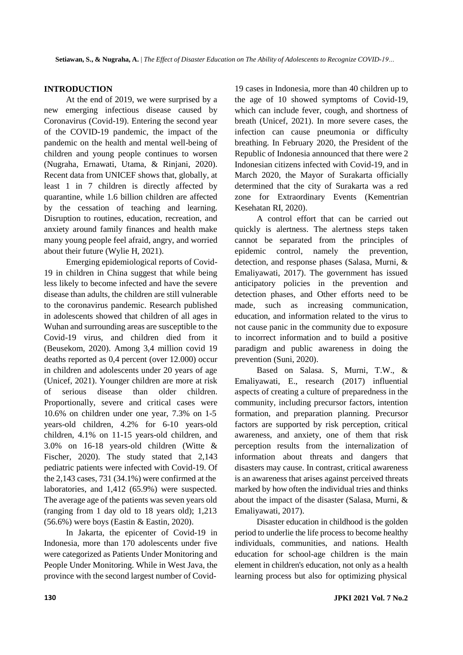# **INTRODUCTION**

At the end of 2019, we were surprised by a new emerging infectious disease caused by Coronavirus (Covid-19). Entering the second year of the COVID-19 pandemic, the impact of the pandemic on the health and mental well-being of children and young people continues to worsen (Nugraha, Ernawati, Utama, & Rinjani, 2020). Recent data from UNICEF shows that, globally, at least 1 in 7 children is directly affected by quarantine, while 1.6 billion children are affected by the cessation of teaching and learning. Disruption to routines, education, recreation, and anxiety around family finances and health make many young people feel afraid, angry, and worried about their future (Wylie H, 2021).

Emerging epidemiological reports of Covid-19 in children in China suggest that while being less likely to become infected and have the severe disease than adults, the children are still vulnerable to the coronavirus pandemic. Research published in adolescents showed that children of all ages in Wuhan and surrounding areas are susceptible to the Covid-19 virus, and children died from it (Beusekom, 2020). Among 3,4 million covid 19 deaths reported as 0,4 percent (over 12.000) occur in children and adolescents under 20 years of age (Unicef, 2021). Younger children are more at risk of serious disease than older children. Proportionally, severe and critical cases were 10.6% on children under one year, 7.3% on 1-5 years-old children, 4.2% for 6-10 years-old children, 4.1% on 11-15 years-old children, and 3.0% on 16-18 years-old children (Witte & Fischer, 2020). The study stated that 2,143 pediatric patients were infected with Covid-19. Of the 2,143 cases, 731 (34.1%) were confirmed at the laboratories, and 1,412 (65.9%) were suspected. The average age of the patients was seven years old (ranging from 1 day old to 18 years old); 1,213 (56.6%) were boys (Eastin & Eastin, 2020).

In Jakarta, the epicenter of Covid-19 in Indonesia, more than 170 adolescents under five were categorized as Patients Under Monitoring and People Under Monitoring. While in West Java, the province with the second largest number of Covid19 cases in Indonesia, more than 40 children up to the age of 10 showed symptoms of Covid-19, which can include fever, cough, and shortness of breath (Unicef, 2021). In more severe cases, the infection can cause pneumonia or difficulty breathing. In February 2020, the President of the Republic of Indonesia announced that there were 2 Indonesian citizens infected with Covid-19, and in March 2020, the Mayor of Surakarta officially determined that the city of Surakarta was a red zone for Extraordinary Events (Kementrian Kesehatan RI, 2020).

A control effort that can be carried out quickly is alertness. The alertness steps taken cannot be separated from the principles of epidemic control, namely the prevention, detection, and response phases (Salasa, Murni, & Emaliyawati, 2017). The government has issued anticipatory policies in the prevention and detection phases, and Other efforts need to be made, such as increasing communication, education, and information related to the virus to not cause panic in the community due to exposure to incorrect information and to build a positive paradigm and public awareness in doing the prevention (Suni, 2020).

Based on Salasa. S, Murni, T.W., & Emaliyawati, E., research (2017) influential aspects of creating a culture of preparedness in the community, including precursor factors, intention formation, and preparation planning. Precursor factors are supported by risk perception, critical awareness, and anxiety, one of them that risk perception results from the internalization of information about threats and dangers that disasters may cause. In contrast, critical awareness is an awareness that arises against perceived threats marked by how often the individual tries and thinks about the impact of the disaster (Salasa, Murni, & Emaliyawati, 2017).

Disaster education in childhood is the golden period to underlie the life process to become healthy individuals, communities, and nations. Health education for school-age children is the main element in children's education, not only as a health learning process but also for optimizing physical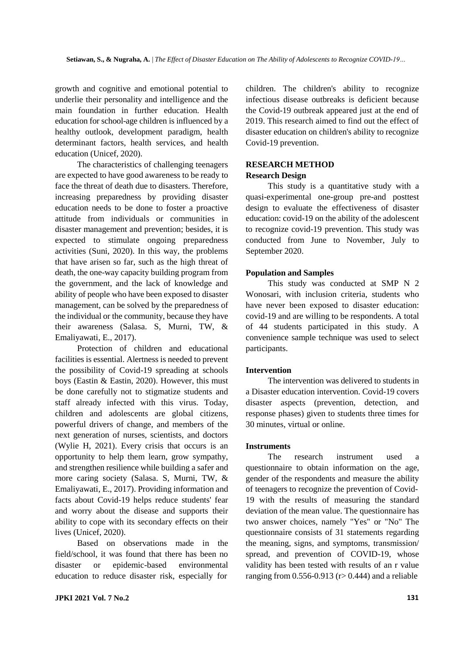growth and cognitive and emotional potential to underlie their personality and intelligence and the main foundation in further education. Health education for school-age children is influenced by a healthy outlook, development paradigm, health determinant factors, health services, and health education (Unicef, 2020).

The characteristics of challenging teenagers are expected to have good awareness to be ready to face the threat of death due to disasters. Therefore, increasing preparedness by providing disaster education needs to be done to foster a proactive attitude from individuals or communities in disaster management and prevention; besides, it is expected to stimulate ongoing preparedness activities (Suni, 2020). In this way, the problems that have arisen so far, such as the high threat of death, the one-way capacity building program from the government, and the lack of knowledge and ability of people who have been exposed to disaster management, can be solved by the preparedness of the individual or the community, because they have their awareness (Salasa. S, Murni, TW, & Emaliyawati, E., 2017).

Protection of children and educational facilities is essential. Alertness is needed to prevent the possibility of Covid-19 spreading at schools boys (Eastin & Eastin, 2020). However, this must be done carefully not to stigmatize students and staff already infected with this virus. Today, children and adolescents are global citizens, powerful drivers of change, and members of the next generation of nurses, scientists, and doctors (Wylie H, 2021). Every crisis that occurs is an opportunity to help them learn, grow sympathy, and strengthen resilience while building a safer and more caring society (Salasa. S, Murni, TW, & Emaliyawati, E., 2017). Providing information and facts about Covid-19 helps reduce students' fear and worry about the disease and supports their ability to cope with its secondary effects on their lives (Unicef, 2020).

Based on observations made in the field/school, it was found that there has been no disaster or epidemic-based environmental education to reduce disaster risk, especially for

children. The children's ability to recognize infectious disease outbreaks is deficient because the Covid-19 outbreak appeared just at the end of 2019. This research aimed to find out the effect of disaster education on children's ability to recognize Covid-19 prevention.

# **RESEARCH METHOD**

# **Research Design**

This study is a quantitative study with a quasi-experimental one-group pre-and posttest design to evaluate the effectiveness of disaster education: covid-19 on the ability of the adolescent to recognize covid-19 prevention. This study was conducted from June to November, July to September 2020.

### **Population and Samples**

This study was conducted at SMP N 2 Wonosari, with inclusion criteria, students who have never been exposed to disaster education: covid-19 and are willing to be respondents. A total of 44 students participated in this study. A convenience sample technique was used to select participants.

### **Intervention**

The intervention was delivered to students in a Disaster education intervention. Covid-19 covers disaster aspects (prevention, detection, and response phases) given to students three times for 30 minutes, virtual or online.

# **Instruments**

The research instrument used a questionnaire to obtain information on the age, gender of the respondents and measure the ability of teenagers to recognize the prevention of Covid-19 with the results of measuring the standard deviation of the mean value. The questionnaire has two answer choices, namely "Yes" or "No" The questionnaire consists of 31 statements regarding the meaning, signs, and symptoms, transmission/ spread, and prevention of COVID-19, whose validity has been tested with results of an r value ranging from  $0.556-0.913$  (r> 0.444) and a reliable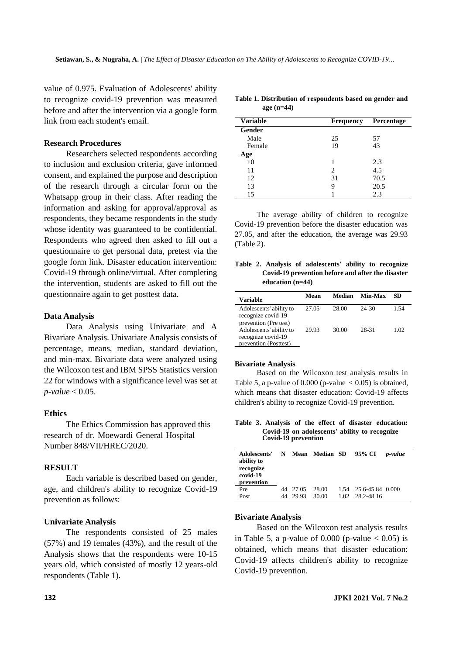value of 0.975. Evaluation of Adolescents' ability to recognize covid-19 prevention was measured before and after the intervention via a google form link from each student's email.

# **Research Procedures**

Researchers selected respondents according to inclusion and exclusion criteria, gave informed consent, and explained the purpose and description of the research through a circular form on the Whatsapp group in their class. After reading the information and asking for approval/approval as respondents, they became respondents in the study whose identity was guaranteed to be confidential. Respondents who agreed then asked to fill out a questionnaire to get personal data, pretest via the google form link. Disaster education intervention: Covid-19 through online/virtual. After completing the intervention, students are asked to fill out the questionnaire again to get posttest data.

#### **Data Analysis**

Data Analysis using Univariate and A Bivariate Analysis. Univariate Analysis consists of percentage, means, median, standard deviation, and min-max. Bivariate data were analyzed using the Wilcoxon test and IBM SPSS Statistics version 22 for windows with a significance level was set at *p-value* < 0.05.

### **Ethics**

The Ethics Commission has approved this research of dr. Moewardi General Hospital Number 848/VII/HREC/2020.

# **RESULT**

Each variable is described based on gender, age, and children's ability to recognize Covid-19 prevention as follows:

#### **Univariate Analysis**

The respondents consisted of 25 males (57%) and 19 females (43%), and the result of the Analysis shows that the respondents were 10-15 years old, which consisted of mostly 12 years-old respondents (Table 1).

| <b>Variable</b> | <b>Frequency</b> | Percentage |
|-----------------|------------------|------------|
| Gender          |                  |            |
| Male            | 25               | 57         |
| Female          | 19               | 43         |
| Age             |                  |            |
| 10              |                  | 2.3        |
| 11              | 2                | 4.5        |
| 12              | 31               | 70.5       |
| 13              | 9                | 20.5       |
| 15              |                  | 2.3        |

**Table 1. Distribution of respondents based on gender and**

**age (n=44)**

The average ability of children to recognize Covid-19 prevention before the disaster education was 27.05, and after the education, the average was 29.93 (Table 2).

|  |                    | Table 2. Analysis of adolescents' ability to recognize |  |  |
|--|--------------------|--------------------------------------------------------|--|--|
|  |                    | Covid-19 prevention before and after the disaster      |  |  |
|  | education $(n=44)$ |                                                        |  |  |

| <b>Variable</b>                                                        | Mean  | Median | Min-Max | SD.  |
|------------------------------------------------------------------------|-------|--------|---------|------|
| Adolescents' ability to<br>recognize covid-19<br>prevention (Pre test) | 27.05 | 28.00  | 24-30   | 1.54 |
| Adolescents' ability to<br>recognize covid-19<br>prevention (Posttest) | 29.93 | 30.00  | 28-31   | 1.02 |

#### **Bivariate Analysis**

Based on the Wilcoxon test analysis results in Table 5, a p-value of  $0.000$  (p-value  $< 0.05$ ) is obtained, which means that disaster education: Covid-19 affects children's ability to recognize Covid-19 prevention.

**Table 3. Analysis of the effect of disaster education: Covid-19 on adolescents' ability to recognize Covid-19 prevention**

| Adolescents'<br>ability to<br>recognize<br>covid-19<br>prevention | N |          | <b>Mean Median SD</b> |       | 95% CI                | p-value |
|-------------------------------------------------------------------|---|----------|-----------------------|-------|-----------------------|---------|
| Pre                                                               |   | 44 27.05 | 28.00                 |       | 1.54 25.6-45.84 0.000 |         |
| Post                                                              |   | 29.93    | 30.00                 | 1.02. | 28.2-48.16            |         |

#### **Bivariate Analysis**

Based on the Wilcoxon test analysis results in Table 5, a p-value of  $0.000$  (p-value  $< 0.05$ ) is obtained, which means that disaster education: Covid-19 affects children's ability to recognize Covid-19 prevention.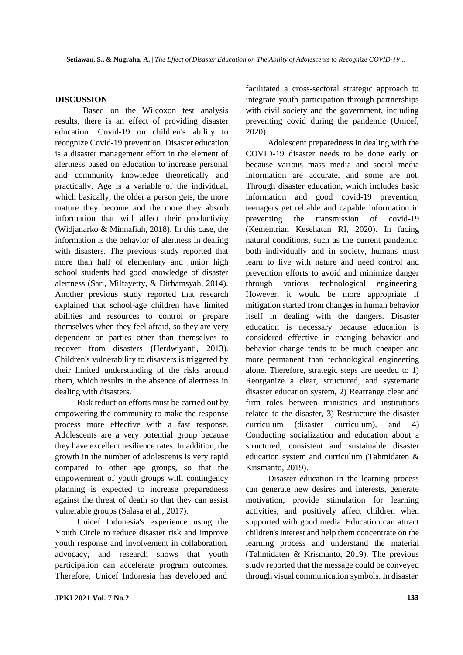# **DISCUSSION**

Based on the Wilcoxon test analysis results, there is an effect of providing disaster education: Covid-19 on children's ability to recognize Covid-19 prevention. Disaster education is a disaster management effort in the element of alertness based on education to increase personal and community knowledge theoretically and practically. Age is a variable of the individual, which basically, the older a person gets, the more mature they become and the more they absorb information that will affect their productivity (Widjanarko & Minnafiah, 2018). In this case, the information is the behavior of alertness in dealing with disasters. The previous study reported that more than half of elementary and junior high school students had good knowledge of disaster alertness (Sari, Milfayetty, & Dirhamsyah, 2014). Another previous study reported that research explained that school-age children have limited abilities and resources to control or prepare themselves when they feel afraid, so they are very dependent on parties other than themselves to recover from disasters (Herdwiyanti, 2013). Children's vulnerability to disasters is triggered by their limited understanding of the risks around them, which results in the absence of alertness in dealing with disasters.

Risk reduction efforts must be carried out by empowering the community to make the response process more effective with a fast response. Adolescents are a very potential group because they have excellent resilience rates. In addition, the growth in the number of adolescents is very rapid compared to other age groups, so that the empowerment of youth groups with contingency planning is expected to increase preparedness against the threat of death so that they can assist vulnerable groups (Salasa et al., 2017).

Unicef Indonesia's experience using the Youth Circle to reduce disaster risk and improve youth response and involvement in collaboration, advocacy, and research shows that youth participation can accelerate program outcomes. Therefore, Unicef Indonesia has developed and

facilitated a cross-sectoral strategic approach to integrate youth participation through partnerships with civil society and the government, including preventing covid during the pandemic (Unicef, 2020).

Adolescent preparedness in dealing with the COVID-19 disaster needs to be done early on because various mass media and social media information are accurate, and some are not. Through disaster education, which includes basic information and good covid-19 prevention, teenagers get reliable and capable information in preventing the transmission of covid-19 (Kementrian Kesehatan RI, 2020). In facing natural conditions, such as the current pandemic, both individually and in society, humans must learn to live with nature and need control and prevention efforts to avoid and minimize danger through various technological engineering. However, it would be more appropriate if mitigation started from changes in human behavior itself in dealing with the dangers. Disaster education is necessary because education is considered effective in changing behavior and behavior change tends to be much cheaper and more permanent than technological engineering alone. Therefore, strategic steps are needed to 1) Reorganize a clear, structured, and systematic disaster education system, 2) Rearrange clear and firm roles between ministries and institutions related to the disaster, 3) Restructure the disaster curriculum (disaster curriculum), and 4) Conducting socialization and education about a structured, consistent and sustainable disaster education system and curriculum (Tahmidaten & Krismanto, 2019).

Disaster education in the learning process can generate new desires and interests, generate motivation, provide stimulation for learning activities, and positively affect children when supported with good media. Education can attract children's interest and help them concentrate on the learning process and understand the material (Tahmidaten & Krismanto, 2019). The previous study reported that the message could be conveyed through visual communication symbols. In disaster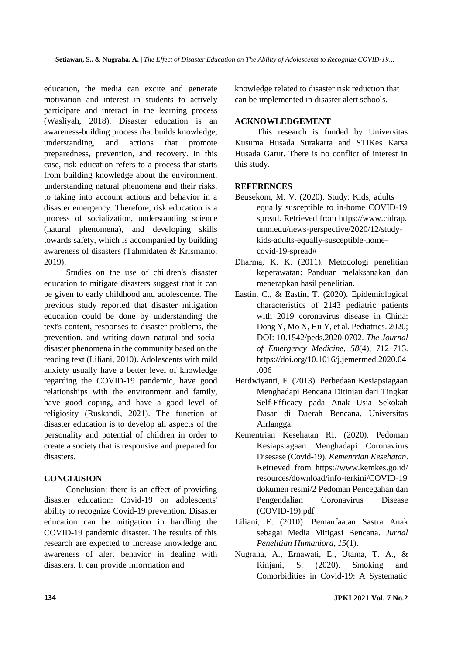education, the media can excite and generate motivation and interest in students to actively participate and interact in the learning process (Wasliyah, 2018). Disaster education is an awareness-building process that builds knowledge, understanding, and actions that promote preparedness, prevention, and recovery. In this case, risk education refers to a process that starts from building knowledge about the environment, understanding natural phenomena and their risks, to taking into account actions and behavior in a disaster emergency. Therefore, risk education is a process of socialization, understanding science (natural phenomena), and developing skills towards safety, which is accompanied by building awareness of disasters (Tahmidaten & Krismanto, 2019).

Studies on the use of children's disaster education to mitigate disasters suggest that it can be given to early childhood and adolescence. The previous study reported that disaster mitigation education could be done by understanding the text's content, responses to disaster problems, the prevention, and writing down natural and social disaster phenomena in the community based on the reading text (Liliani, 2010). Adolescents with mild anxiety usually have a better level of knowledge regarding the COVID-19 pandemic, have good relationships with the environment and family, have good coping, and have a good level of religiosity (Ruskandi, 2021). The function of disaster education is to develop all aspects of the personality and potential of children in order to create a society that is responsive and prepared for disasters.

# **CONCLUSION**

Conclusion: there is an effect of providing disaster education: Covid-19 on adolescents' ability to recognize Covid-19 prevention. Disaster education can be mitigation in handling the COVID-19 pandemic disaster. The results of this research are expected to increase knowledge and awareness of alert behavior in dealing with disasters. It can provide information and

knowledge related to disaster risk reduction that can be implemented in disaster alert schools.

# **ACKNOWLEDGEMENT**

This research is funded by Universitas Kusuma Husada Surakarta and STIKes Karsa Husada Garut. There is no conflict of interest in this study.

# **REFERENCES**

- Beusekom, M. V. (2020). Study: Kids, adults equally susceptible to in-home COVID-19 spread. Retrieved from https://www.cidrap. umn.edu/news-perspective/2020/12/studykids-adults-equally-susceptible-homecovid-19-spread#
- Dharma, K. K. (2011). Metodologi penelitian keperawatan: Panduan melaksanakan dan menerapkan hasil penelitian.
- Eastin, C., & Eastin, T. (2020). Epidemiological characteristics of 2143 pediatric patients with 2019 coronavirus disease in China: Dong Y, Mo X, Hu Y, et al. Pediatrics. 2020; DOI: 10.1542/peds.2020-0702. *The Journal of Emergency Medicine*, *58*(4), 712–713. https://doi.org/10.1016/j.jemermed.2020.04 .006
- Herdwiyanti, F. (2013). Perbedaan Kesiapsiagaan Menghadapi Bencana Ditinjau dari Tingkat Self-Efficacy pada Anak Usia Sekokah Dasar di Daerah Bencana. Universitas Airlangga.
- Kementrian Kesehatan RI. (2020). Pedoman Kesiapsiagaan Menghadapi Coronavirus Disesase (Covid-19). *Kementrian Kesehatan*. Retrieved from https:/[/www.kemkes.go.id/](http://www.kemkes.go.id/) resources/download/info-terkini/COVID-19 dokumen resmi/2 Pedoman Pencegahan dan Pengendalian Coronavirus Disease (COVID-19).pdf
- Liliani, E. (2010). Pemanfaatan Sastra Anak sebagai Media Mitigasi Bencana. *Jurnal Penelitian Humaniora*, *15*(1).
- Nugraha, A., Ernawati, E., Utama, T. A., & Rinjani, S. (2020). Smoking and Comorbidities in Covid-19: A Systematic